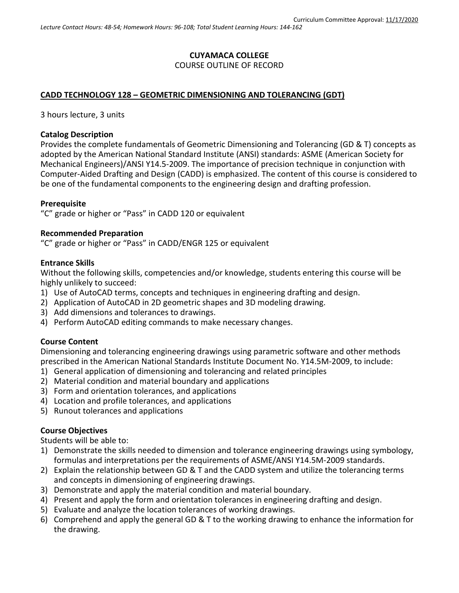# **CUYAMACA COLLEGE** COURSE OUTLINE OF RECORD

### **CADD TECHNOLOGY 128 – GEOMETRIC DIMENSIONING AND TOLERANCING (GDT)**

3 hours lecture, 3 units

### **Catalog Description**

Provides the complete fundamentals of Geometric Dimensioning and Tolerancing (GD & T) concepts as adopted by the American National Standard Institute (ANSI) standards: ASME (American Society for Mechanical Engineers)/ANSI Y14.5-2009. The importance of precision technique in conjunction with Computer-Aided Drafting and Design (CADD) is emphasized. The content of this course is considered to be one of the fundamental components to the engineering design and drafting profession.

### **Prerequisite**

"C" grade or higher or "Pass" in CADD 120 or equivalent

#### **Recommended Preparation**

"C" grade or higher or "Pass" in CADD/ENGR 125 or equivalent

#### **Entrance Skills**

Without the following skills, competencies and/or knowledge, students entering this course will be highly unlikely to succeed:

- 1) Use of AutoCAD terms, concepts and techniques in engineering drafting and design.
- 2) Application of AutoCAD in 2D geometric shapes and 3D modeling drawing.
- 3) Add dimensions and tolerances to drawings.
- 4) Perform AutoCAD editing commands to make necessary changes.

### **Course Content**

Dimensioning and tolerancing engineering drawings using parametric software and other methods prescribed in the American National Standards Institute Document No. Y14.5M-2009, to include:

- 1) General application of dimensioning and tolerancing and related principles
- 2) Material condition and material boundary and applications
- 3) Form and orientation tolerances, and applications
- 4) Location and profile tolerances, and applications
- 5) Runout tolerances and applications

### **Course Objectives**

Students will be able to:

- 1) Demonstrate the skills needed to dimension and tolerance engineering drawings using symbology, formulas and interpretations per the requirements of ASME/ANSI Y14.5M-2009 standards.
- 2) Explain the relationship between GD & T and the CADD system and utilize the tolerancing terms and concepts in dimensioning of engineering drawings.
- 3) Demonstrate and apply the material condition and material boundary.
- 4) Present and apply the form and orientation tolerances in engineering drafting and design.
- 5) Evaluate and analyze the location tolerances of working drawings.
- 6) Comprehend and apply the general GD & T to the working drawing to enhance the information for the drawing.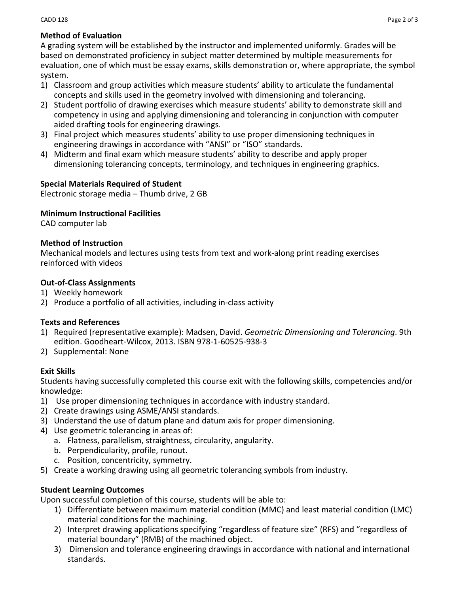# **Method of Evaluation**

A grading system will be established by the instructor and implemented uniformly. Grades will be based on demonstrated proficiency in subject matter determined by multiple measurements for evaluation, one of which must be essay exams, skills demonstration or, where appropriate, the symbol system.

- 1) Classroom and group activities which measure students' ability to articulate the fundamental concepts and skills used in the geometry involved with dimensioning and tolerancing.
- 2) Student portfolio of drawing exercises which measure students' ability to demonstrate skill and competency in using and applying dimensioning and tolerancing in conjunction with computer aided drafting tools for engineering drawings.
- 3) Final project which measures students' ability to use proper dimensioning techniques in engineering drawings in accordance with "ANSI" or "ISO" standards.
- 4) Midterm and final exam which measure students' ability to describe and apply proper dimensioning tolerancing concepts, terminology, and techniques in engineering graphics.

## **Special Materials Required of Student**

Electronic storage media – Thumb drive, 2 GB

## **Minimum Instructional Facilities**

CAD computer lab

### **Method of Instruction**

Mechanical models and lectures using tests from text and work-along print reading exercises reinforced with videos

## **Out-of-Class Assignments**

- 1) Weekly homework
- 2) Produce a portfolio of all activities, including in-class activity

### **Texts and References**

- 1) Required (representative example): Madsen, David. *Geometric Dimensioning and Tolerancing*. 9th edition. Goodheart-Wilcox, 2013. ISBN 978-1-60525-938-3
- 2) Supplemental: None

## **Exit Skills**

Students having successfully completed this course exit with the following skills, competencies and/or knowledge:

- 1) Use proper dimensioning techniques in accordance with industry standard.
- 2) Create drawings using ASME/ANSI standards.
- 3) Understand the use of datum plane and datum axis for proper dimensioning.
- 4) Use geometric tolerancing in areas of:
	- a. Flatness, parallelism, straightness, circularity, angularity.
	- b. Perpendicularity, profile, runout.
	- c. Position, concentricity, symmetry.
- 5) Create a working drawing using all geometric tolerancing symbols from industry.

## **Student Learning Outcomes**

Upon successful completion of this course, students will be able to:

- 1) Differentiate between maximum material condition (MMC) and least material condition (LMC) material conditions for the machining.
- 2) Interpret drawing applications specifying "regardless of feature size" (RFS) and "regardless of material boundary" (RMB) of the machined object.
- 3) Dimension and tolerance engineering drawings in accordance with national and international standards.